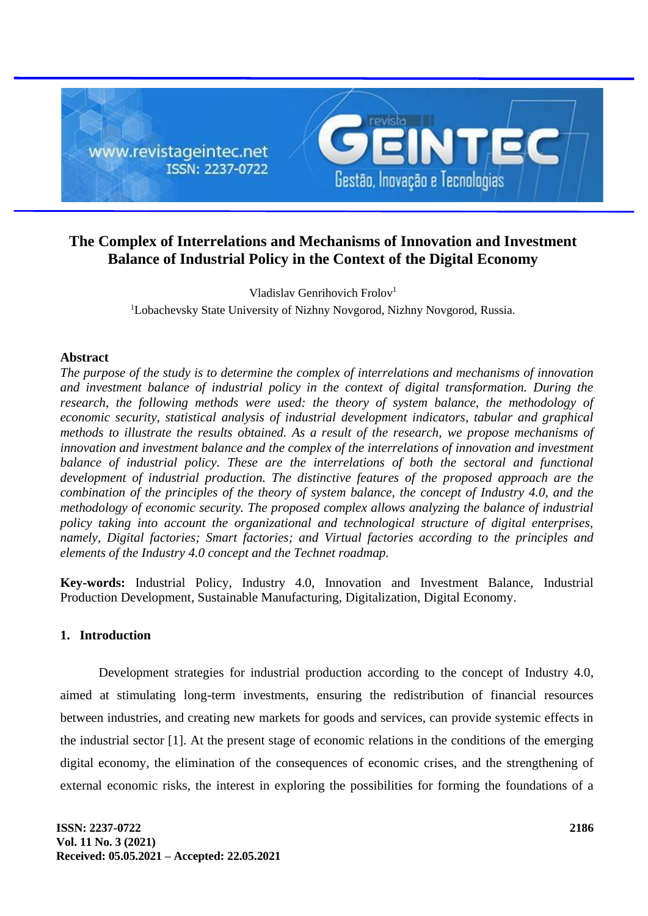

# **The Complex of Interrelations and Mechanisms of Innovation and Investment Balance of Industrial Policy in the Context of the Digital Economy**

Vladislav Genrihovich Frolov<sup>1</sup> <sup>1</sup>Lobachevsky State University of Nizhny Novgorod, Nizhny Novgorod, Russia.

### **Abstract**

*The purpose of the study is to determine the complex of interrelations and mechanisms of innovation and investment balance of industrial policy in the context of digital transformation. During the*  research, the following methods were used: the theory of system balance, the methodology of *economic security, statistical analysis of industrial development indicators, tabular and graphical methods to illustrate the results obtained. As a result of the research, we propose mechanisms of innovation and investment balance and the complex of the interrelations of innovation and investment*  balance of industrial policy. These are the interrelations of both the sectoral and functional *development of industrial production. The distinctive features of the proposed approach are the combination of the principles of the theory of system balance, the concept of Industry 4.0, and the methodology of economic security. The proposed complex allows analyzing the balance of industrial policy taking into account the organizational and technological structure of digital enterprises, namely, Digital factories; Smart factories; and Virtual factories according to the principles and elements of the Industry 4.0 concept and the Technet roadmap.*

**Key-words:** Industrial Policy, Industry 4.0, Innovation and Investment Balance, Industrial Production Development, Sustainable Manufacturing, Digitalization, Digital Economy.

#### **1. Introduction**

Development strategies for industrial production according to the concept of Industry 4.0, aimed at stimulating long-term investments, ensuring the redistribution of financial resources between industries, and creating new markets for goods and services, can provide systemic effects in the industrial sector [1]. At the present stage of economic relations in the conditions of the emerging digital economy, the elimination of the consequences of economic crises, and the strengthening of external economic risks, the interest in exploring the possibilities for forming the foundations of a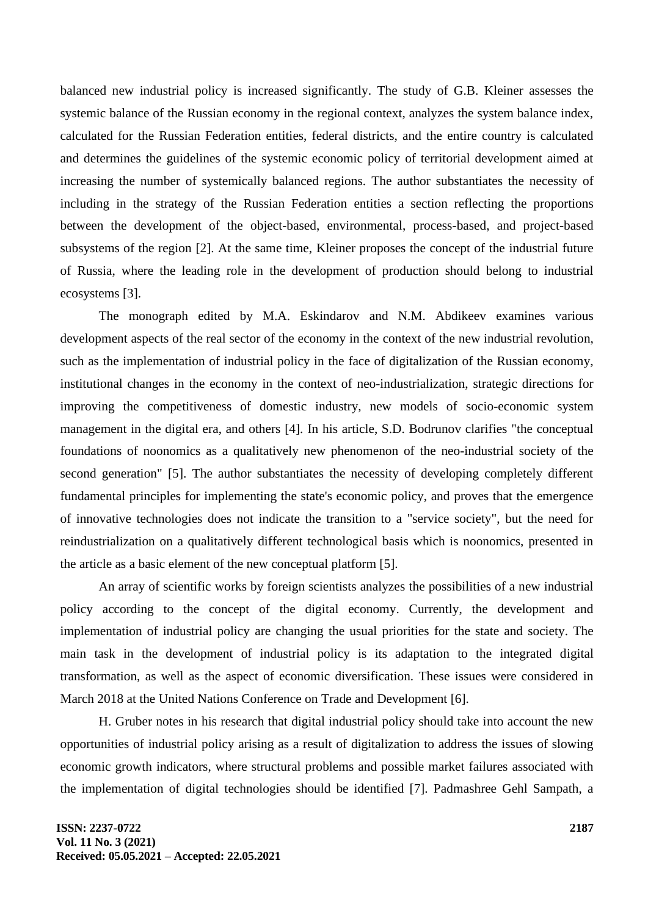balanced new industrial policy is increased significantly. The study of G.B. Kleiner assesses the systemic balance of the Russian economy in the regional context, analyzes the system balance index, calculated for the Russian Federation entities, federal districts, and the entire country is calculated and determines the guidelines of the systemic economic policy of territorial development aimed at increasing the number of systemically balanced regions. The author substantiates the necessity of including in the strategy of the Russian Federation entities a section reflecting the proportions between the development of the object-based, environmental, process-based, and project-based subsystems of the region [2]. At the same time, Kleiner proposes the concept of the industrial future of Russia, where the leading role in the development of production should belong to industrial ecosystems [3].

The monograph edited by M.A. Eskindarov and N.M. Abdikeev examines various development aspects of the real sector of the economy in the context of the new industrial revolution, such as the implementation of industrial policy in the face of digitalization of the Russian economy, institutional changes in the economy in the context of neo-industrialization, strategic directions for improving the competitiveness of domestic industry, new models of socio-economic system management in the digital era, and others [4]. In his article, S.D. Bodrunov clarifies "the conceptual foundations of noonomics as a qualitatively new phenomenon of the neo-industrial society of the second generation" [5]. The author substantiates the necessity of developing completely different fundamental principles for implementing the state's economic policy, and proves that the emergence of innovative technologies does not indicate the transition to a "service society", but the need for reindustrialization on a qualitatively different technological basis which is noonomics, presented in the article as a basic element of the new conceptual platform [5].

An array of scientific works by foreign scientists analyzes the possibilities of a new industrial policy according to the concept of the digital economy. Currently, the development and implementation of industrial policy are changing the usual priorities for the state and society. The main task in the development of industrial policy is its adaptation to the integrated digital transformation, as well as the aspect of economic diversification. These issues were considered in March 2018 at the United Nations Conference on Trade and Development [6].

H. Gruber notes in his research that digital industrial policy should take into account the new opportunities of industrial policy arising as a result of digitalization to address the issues of slowing economic growth indicators, where structural problems and possible market failures associated with the implementation of digital technologies should be identified [7]. Padmashree Gehl Sampath, a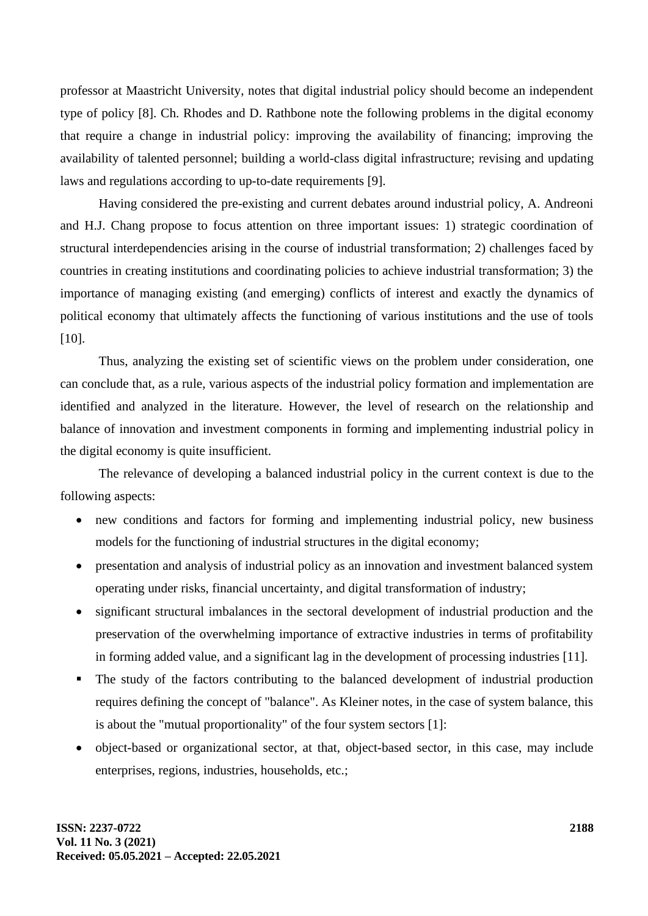professor at Maastricht University, notes that digital industrial policy should become an independent type of policy [8]. Ch. Rhodes and D. Rathbone note the following problems in the digital economy that require a change in industrial policy: improving the availability of financing; improving the availability of talented personnel; building a world-class digital infrastructure; revising and updating laws and regulations according to up-to-date requirements [9].

Having considered the pre-existing and current debates around industrial policy, A. Andreoni and H.J. Chang propose to focus attention on three important issues: 1) strategic coordination of structural interdependencies arising in the course of industrial transformation; 2) challenges faced by countries in creating institutions and coordinating policies to achieve industrial transformation; 3) the importance of managing existing (and emerging) conflicts of interest and exactly the dynamics of political economy that ultimately affects the functioning of various institutions and the use of tools [10].

Thus, analyzing the existing set of scientific views on the problem under consideration, one can conclude that, as a rule, various aspects of the industrial policy formation and implementation are identified and analyzed in the literature. However, the level of research on the relationship and balance of innovation and investment components in forming and implementing industrial policy in the digital economy is quite insufficient.

The relevance of developing a balanced industrial policy in the current context is due to the following aspects:

- new conditions and factors for forming and implementing industrial policy, new business models for the functioning of industrial structures in the digital economy;
- presentation and analysis of industrial policy as an innovation and investment balanced system operating under risks, financial uncertainty, and digital transformation of industry;
- significant structural imbalances in the sectoral development of industrial production and the preservation of the overwhelming importance of extractive industries in terms of profitability in forming added value, and a significant lag in the development of processing industries [11].
- The study of the factors contributing to the balanced development of industrial production requires defining the concept of "balance". As Kleiner notes, in the case of system balance, this is about the "mutual proportionality" of the four system sectors [1]:
- object-based or organizational sector, at that, object-based sector, in this case, may include enterprises, regions, industries, households, etc.;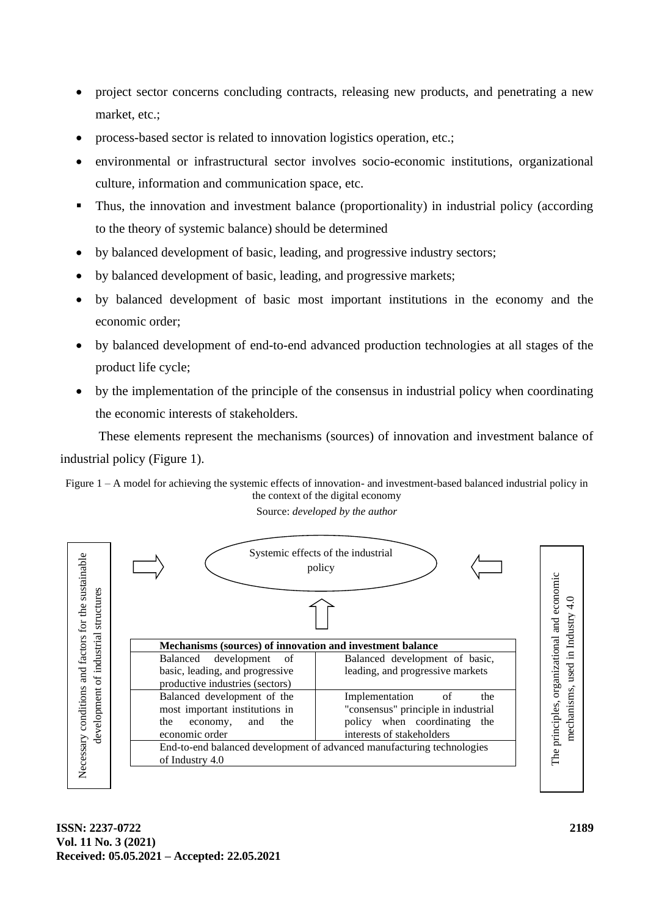- project sector concerns concluding contracts, releasing new products, and penetrating a new market, etc.;
- process-based sector is related to innovation logistics operation, etc.;
- environmental or infrastructural sector involves socio-economic institutions, organizational culture, information and communication space, etc.
- Thus, the innovation and investment balance (proportionality) in industrial policy (according to the theory of systemic balance) should be determined
- by balanced development of basic, leading, and progressive industry sectors;
- by balanced development of basic, leading, and progressive markets;
- by balanced development of basic most important institutions in the economy and the economic order;
- by balanced development of end-to-end advanced production technologies at all stages of the product life cycle;
- by the implementation of the principle of the consensus in industrial policy when coordinating the economic interests of stakeholders.

These elements represent the mechanisms (sources) of innovation and investment balance of industrial policy (Figure 1).

Figure 1 – A model for achieving the systemic effects of innovation- and investment-based balanced industrial policy in the context of the digital economy

Source: *developed by the author*

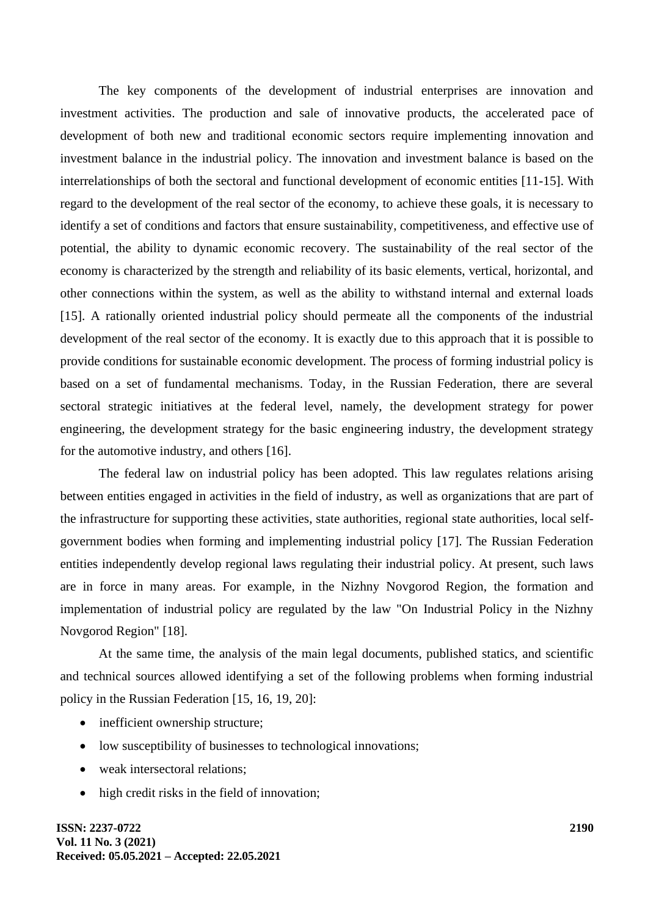The key components of the development of industrial enterprises are innovation and investment activities. The production and sale of innovative products, the accelerated pace of development of both new and traditional economic sectors require implementing innovation and investment balance in the industrial policy. The innovation and investment balance is based on the interrelationships of both the sectoral and functional development of economic entities [11-15]. With regard to the development of the real sector of the economy, to achieve these goals, it is necessary to identify a set of conditions and factors that ensure sustainability, competitiveness, and effective use of potential, the ability to dynamic economic recovery. The sustainability of the real sector of the economy is characterized by the strength and reliability of its basic elements, vertical, horizontal, and other connections within the system, as well as the ability to withstand internal and external loads [15]. A rationally oriented industrial policy should permeate all the components of the industrial development of the real sector of the economy. It is exactly due to this approach that it is possible to provide conditions for sustainable economic development. The process of forming industrial policy is based on a set of fundamental mechanisms. Today, in the Russian Federation, there are several sectoral strategic initiatives at the federal level, namely, the development strategy for power engineering, the development strategy for the basic engineering industry, the development strategy for the automotive industry, and others [16].

The federal law on industrial policy has been adopted. This law regulates relations arising between entities engaged in activities in the field of industry, as well as organizations that are part of the infrastructure for supporting these activities, state authorities, regional state authorities, local selfgovernment bodies when forming and implementing industrial policy [17]. The Russian Federation entities independently develop regional laws regulating their industrial policy. At present, such laws are in force in many areas. For example, in the Nizhny Novgorod Region, the formation and implementation of industrial policy are regulated by the law "On Industrial Policy in the Nizhny Novgorod Region" [18].

At the same time, the analysis of the main legal documents, published statics, and scientific and technical sources allowed identifying a set of the following problems when forming industrial policy in the Russian Federation [15, 16, 19, 20]:

- inefficient ownership structure;
- low susceptibility of businesses to technological innovations;
- weak intersectoral relations:
- high credit risks in the field of innovation:

**ISSN: 2237-0722 Vol. 11 No. 3 (2021) Received: 05.05.2021 – Accepted: 22.05.2021**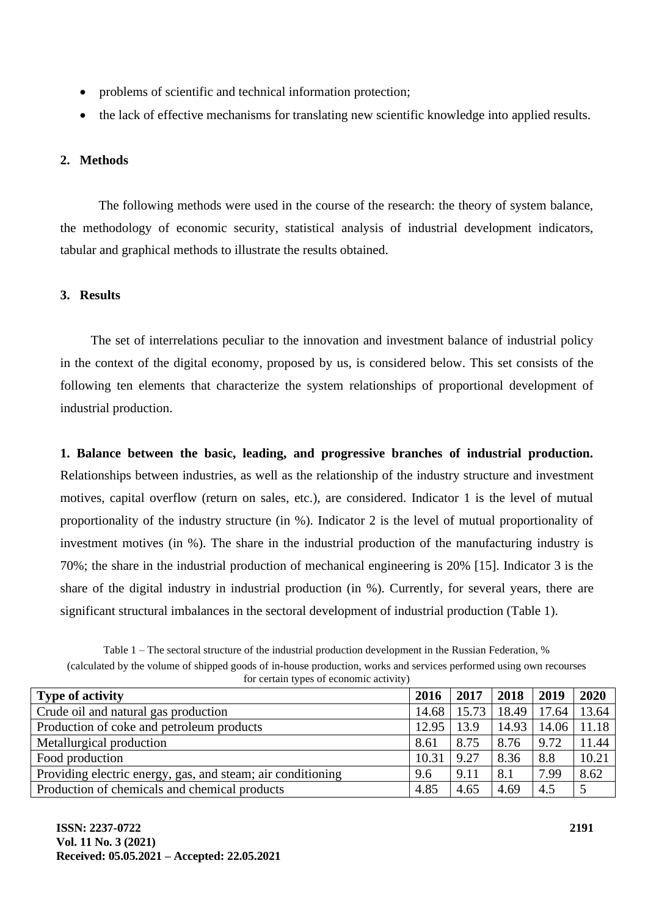- problems of scientific and technical information protection;
- the lack of effective mechanisms for translating new scientific knowledge into applied results.

### **2. Methods**

The following methods were used in the course of the research: the theory of system balance, the methodology of economic security, statistical analysis of industrial development indicators, tabular and graphical methods to illustrate the results obtained.

### **3. Results**

The set of interrelations peculiar to the innovation and investment balance of industrial policy in the context of the digital economy, proposed by us, is considered below. This set consists of the following ten elements that characterize the system relationships of proportional development of industrial production.

**1. Balance between the basic, leading, and progressive branches of industrial production.** Relationships between industries, as well as the relationship of the industry structure and investment motives, capital overflow (return on sales, etc.), are considered. Indicator 1 is the level of mutual proportionality of the industry structure (in %). Indicator 2 is the level of mutual proportionality of investment motives (in %). The share in the industrial production of the manufacturing industry is 70%; the share in the industrial production of mechanical engineering is 20% [15]. Indicator 3 is the share of the digital industry in industrial production (in %). Currently, for several years, there are significant structural imbalances in the sectoral development of industrial production (Table 1).

Table 1 – The sectoral structure of the industrial production development in the Russian Federation, % (calculated by the volume of shipped goods of in-house production, works and services performed using own recourses for certain types of economic activity)

| <b>Type of activity</b>                                     | 2016  | 2017  | 2018  | 2019            | 2020  |
|-------------------------------------------------------------|-------|-------|-------|-----------------|-------|
| Crude oil and natural gas production                        | 14.68 | 15.73 |       | 18.49 17.64     | 13.64 |
| Production of coke and petroleum products                   | 12.95 | 13.9  | 14.93 | $14.06$   11.18 |       |
| Metallurgical production                                    | 8.61  | 8.75  | 8.76  | 9.72            | 11.44 |
| Food production                                             | 10.31 | 9.27  | 8.36  | 8.8             | 10.21 |
| Providing electric energy, gas, and steam; air conditioning | 9.6   | 9.11  | 8.1   | 7.99            | 8.62  |
| Production of chemicals and chemical products               | 4.85  | 4.65  | 4.69  | 4.5             |       |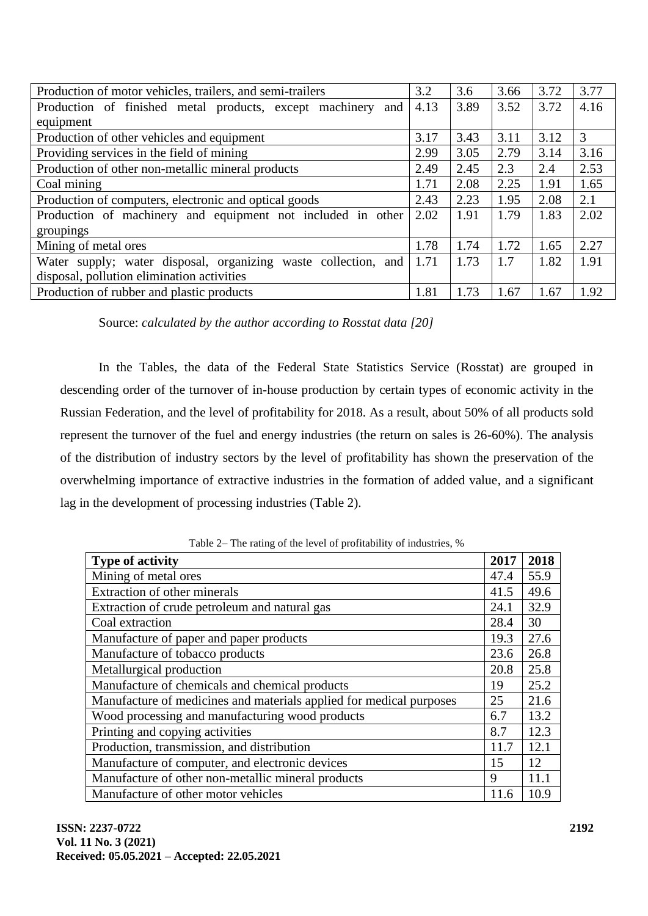| Production of motor vehicles, trailers, and semi-trailers      | 3.2  | 3.6  | 3.66 | 3.72 | 3.77 |
|----------------------------------------------------------------|------|------|------|------|------|
| Production of finished metal products, except machinery and    | 4.13 | 3.89 | 3.52 | 3.72 | 4.16 |
| equipment                                                      |      |      |      |      |      |
| Production of other vehicles and equipment                     | 3.17 | 3.43 | 3.11 | 3.12 | 3    |
| Providing services in the field of mining                      | 2.99 | 3.05 | 2.79 | 3.14 | 3.16 |
| Production of other non-metallic mineral products              | 2.49 | 2.45 | 2.3  | 2.4  | 2.53 |
| Coal mining                                                    | 1.71 | 2.08 | 2.25 | 1.91 | 1.65 |
| Production of computers, electronic and optical goods          | 2.43 | 2.23 | 1.95 | 2.08 | 2.1  |
| Production of machinery and equipment not included in other    | 2.02 | 1.91 | 1.79 | 1.83 | 2.02 |
| groupings                                                      |      |      |      |      |      |
| Mining of metal ores                                           | 1.78 | 1.74 | 1.72 | 1.65 | 2.27 |
| Water supply; water disposal, organizing waste collection, and | 1.71 | 1.73 | 1.7  | 1.82 | 1.91 |
| disposal, pollution elimination activities                     |      |      |      |      |      |
| Production of rubber and plastic products                      | 1.81 | 1.73 | 1.67 | 1.67 | 1.92 |

Source: *calculated by the author according to Rosstat data [20]*

In the Tables, the data of the Federal State Statistics Service (Rosstat) are grouped in descending order of the turnover of in-house production by certain types of economic activity in the Russian Federation, and the level of profitability for 2018. As a result, about 50% of all products sold represent the turnover of the fuel and energy industries (the return on sales is 26-60%). The analysis of the distribution of industry sectors by the level of profitability has shown the preservation of the overwhelming importance of extractive industries in the formation of added value, and a significant lag in the development of processing industries (Table 2).

Table 2– The rating of the level of profitability of industries, %

| <b>Type of activity</b>                                             | 2017 | 2018 |
|---------------------------------------------------------------------|------|------|
| Mining of metal ores                                                | 47.4 | 55.9 |
| Extraction of other minerals                                        | 41.5 | 49.6 |
| Extraction of crude petroleum and natural gas                       | 24.1 | 32.9 |
| Coal extraction                                                     | 28.4 | 30   |
| Manufacture of paper and paper products                             | 19.3 | 27.6 |
| Manufacture of tobacco products                                     | 23.6 | 26.8 |
| Metallurgical production                                            | 20.8 | 25.8 |
| Manufacture of chemicals and chemical products                      | 19   | 25.2 |
| Manufacture of medicines and materials applied for medical purposes | 25   | 21.6 |
| Wood processing and manufacturing wood products                     | 6.7  | 13.2 |
| Printing and copying activities                                     | 8.7  | 12.3 |
| Production, transmission, and distribution                          | 11.7 | 12.1 |
| Manufacture of computer, and electronic devices                     | 15   | 12   |
| Manufacture of other non-metallic mineral products                  | 9    | 11.1 |
| Manufacture of other motor vehicles                                 | 11.6 | 10.9 |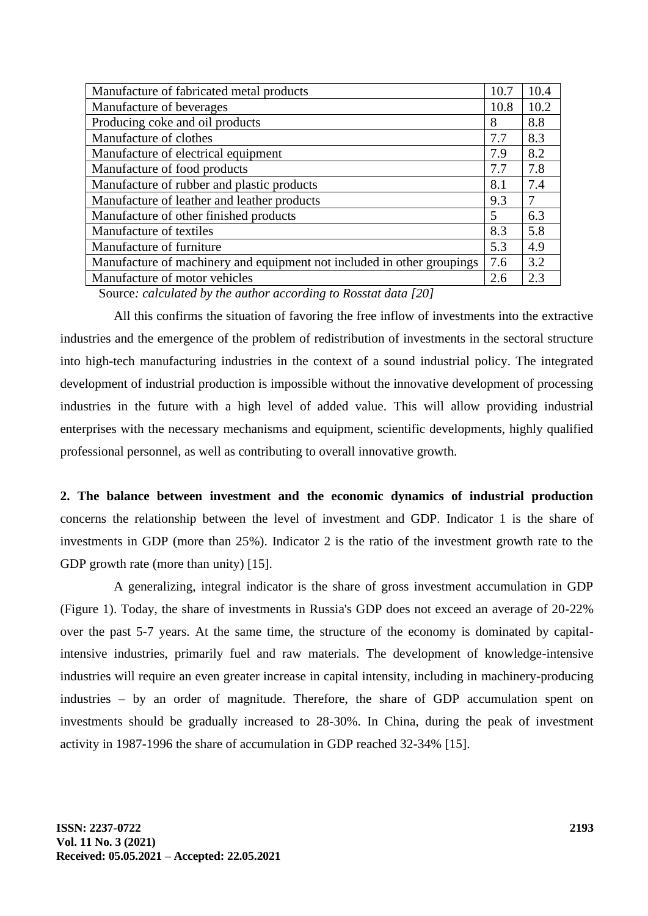| Manufacture of fabricated metal products                               | 10.7 | 10.4 |
|------------------------------------------------------------------------|------|------|
| Manufacture of beverages                                               | 10.8 | 10.2 |
| Producing coke and oil products                                        | 8    | 8.8  |
| Manufacture of clothes                                                 | 7.7  | 8.3  |
| Manufacture of electrical equipment                                    | 7.9  | 8.2  |
| Manufacture of food products                                           | 7.7  | 7.8  |
| Manufacture of rubber and plastic products                             | 8.1  | 7.4  |
| Manufacture of leather and leather products                            | 9.3  | 7    |
| Manufacture of other finished products                                 | 5    | 6.3  |
| Manufacture of textiles                                                | 8.3  | 5.8  |
| Manufacture of furniture                                               | 5.3  | 4.9  |
| Manufacture of machinery and equipment not included in other groupings | 7.6  | 3.2  |
| Manufacture of motor vehicles                                          | 2.6  | 2.3  |
|                                                                        |      |      |

Source*: calculated by the author according to Rosstat data [20]*

All this confirms the situation of favoring the free inflow of investments into the extractive industries and the emergence of the problem of redistribution of investments in the sectoral structure into high-tech manufacturing industries in the context of a sound industrial policy. The integrated development of industrial production is impossible without the innovative development of processing industries in the future with a high level of added value. This will allow providing industrial enterprises with the necessary mechanisms and equipment, scientific developments, highly qualified professional personnel, as well as contributing to overall innovative growth.

**2. The balance between investment and the economic dynamics of industrial production** concerns the relationship between the level of investment and GDP. Indicator 1 is the share of investments in GDP (more than 25%). Indicator 2 is the ratio of the investment growth rate to the GDP growth rate (more than unity) [15].

A generalizing, integral indicator is the share of gross investment accumulation in GDP (Figure 1). Today, the share of investments in Russia's GDP does not exceed an average of 20-22% over the past 5-7 years. At the same time, the structure of the economy is dominated by capitalintensive industries, primarily fuel and raw materials. The development of knowledge-intensive industries will require an even greater increase in capital intensity, including in machinery-producing industries – by an order of magnitude. Therefore, the share of GDP accumulation spent on investments should be gradually increased to 28-30%. In China, during the peak of investment activity in 1987-1996 the share of accumulation in GDP reached 32-34% [15].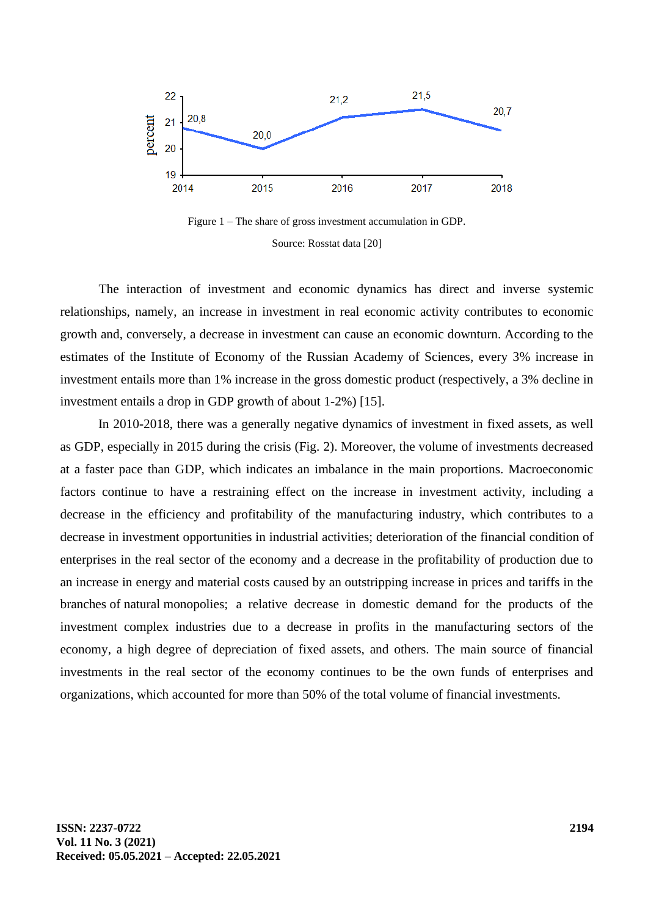



The interaction of investment and economic dynamics has direct and inverse systemic relationships, namely, an increase in investment in real economic activity contributes to economic growth and, conversely, a decrease in investment can cause an economic downturn. According to the estimates of the Institute of Economy of the Russian Academy of Sciences, every 3% increase in investment entails more than 1% increase in the gross domestic product (respectively, a 3% decline in investment entails a drop in GDP growth of about 1-2%) [15].

In 2010-2018, there was a generally negative dynamics of investment in fixed assets, as well as GDP, especially in 2015 during the crisis (Fig. 2). Moreover, the volume of investments decreased at a faster pace than GDP, which indicates an imbalance in the main proportions. Macroeconomic factors continue to have a restraining effect on the increase in investment activity, including a decrease in the efficiency and profitability of the manufacturing industry, which contributes to a decrease in investment opportunities in industrial activities; deterioration of the financial condition of enterprises in the real sector of the economy and a decrease in the profitability of production due to an increase in energy and material costs caused by an outstripping increase in prices and tariffs in the branches of natural monopolies; a relative decrease in domestic demand for the products of the investment complex industries due to a decrease in profits in the manufacturing sectors of the economy, a high degree of depreciation of fixed assets, and others. The main source of financial investments in the real sector of the economy continues to be the own funds of enterprises and organizations, which accounted for more than 50% of the total volume of financial investments.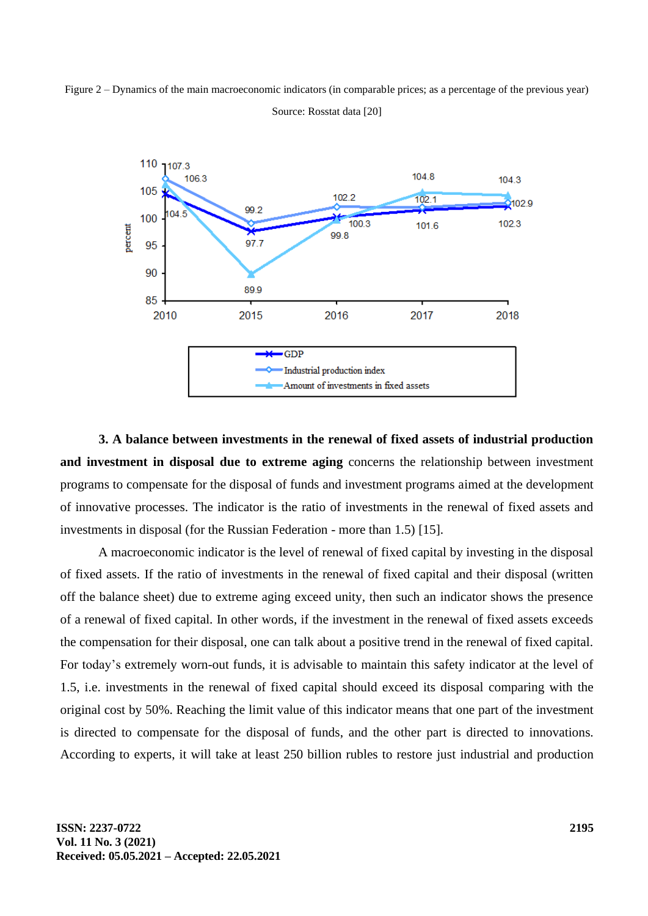



Source: Rosstat data [20]

**3. A balance between investments in the renewal of fixed assets of industrial production and investment in disposal due to extreme aging** concerns the relationship between investment programs to compensate for the disposal of funds and investment programs aimed at the development of innovative processes. The indicator is the ratio of investments in the renewal of fixed assets and investments in disposal (for the Russian Federation - more than 1.5) [15].

A macroeconomic indicator is the level of renewal of fixed capital by investing in the disposal of fixed assets. If the ratio of investments in the renewal of fixed capital and their disposal (written off the balance sheet) due to extreme aging exceed unity, then such an indicator shows the presence of a renewal of fixed capital. In other words, if the investment in the renewal of fixed assets exceeds the compensation for their disposal, one can talk about a positive trend in the renewal of fixed capital. For today's extremely worn-out funds, it is advisable to maintain this safety indicator at the level of 1.5, i.e. investments in the renewal of fixed capital should exceed its disposal comparing with the original cost by 50%. Reaching the limit value of this indicator means that one part of the investment is directed to compensate for the disposal of funds, and the other part is directed to innovations. According to experts, it will take at least 250 billion rubles to restore just industrial and production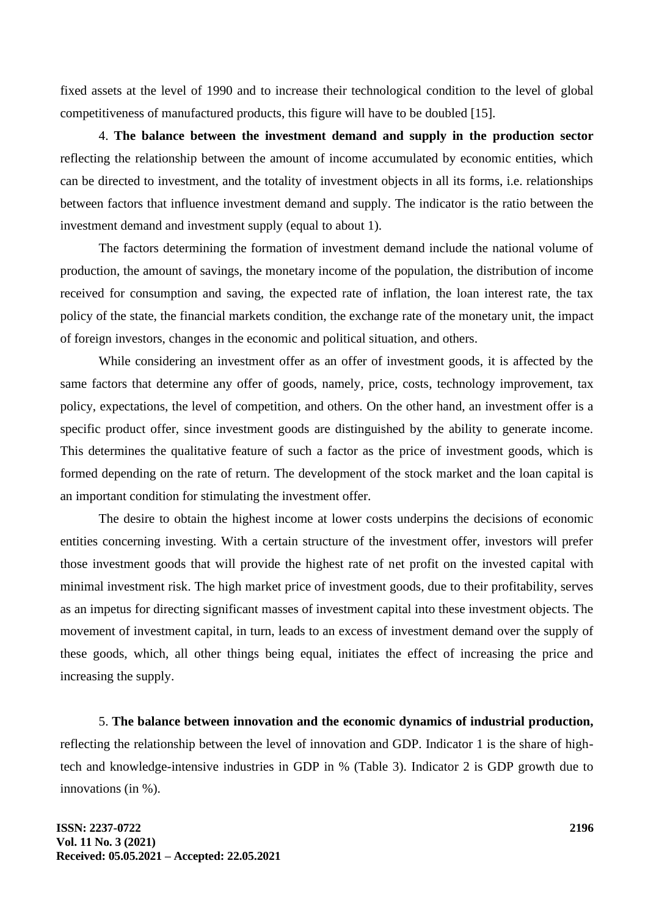fixed assets at the level of 1990 and to increase their technological condition to the level of global competitiveness of manufactured products, this figure will have to be doubled [15].

4. **The balance between the investment demand and supply in the production sector** reflecting the relationship between the amount of income accumulated by economic entities, which can be directed to investment, and the totality of investment objects in all its forms, i.e. relationships between factors that influence investment demand and supply. The indicator is the ratio between the investment demand and investment supply (equal to about 1).

The factors determining the formation of investment demand include the national volume of production, the amount of savings, the monetary income of the population, the distribution of income received for consumption and saving, the expected rate of inflation, the loan interest rate, the tax policy of the state, the financial markets condition, the exchange rate of the monetary unit, the impact of foreign investors, changes in the economic and political situation, and others.

While considering an investment offer as an offer of investment goods, it is affected by the same factors that determine any offer of goods, namely, price, costs, technology improvement, tax policy, expectations, the level of competition, and others. On the other hand, an investment offer is a specific product offer, since investment goods are distinguished by the ability to generate income. This determines the qualitative feature of such a factor as the price of investment goods, which is formed depending on the rate of return. The development of the stock market and the loan capital is an important condition for stimulating the investment offer.

The desire to obtain the highest income at lower costs underpins the decisions of economic entities concerning investing. With a certain structure of the investment offer, investors will prefer those investment goods that will provide the highest rate of net profit on the invested capital with minimal investment risk. The high market price of investment goods, due to their profitability, serves as an impetus for directing significant masses of investment capital into these investment objects. The movement of investment capital, in turn, leads to an excess of investment demand over the supply of these goods, which, all other things being equal, initiates the effect of increasing the price and increasing the supply.

5. **The balance between innovation and the economic dynamics of industrial production,** reflecting the relationship between the level of innovation and GDP. Indicator 1 is the share of hightech and knowledge-intensive industries in GDP in % (Table 3). Indicator 2 is GDP growth due to innovations (in %).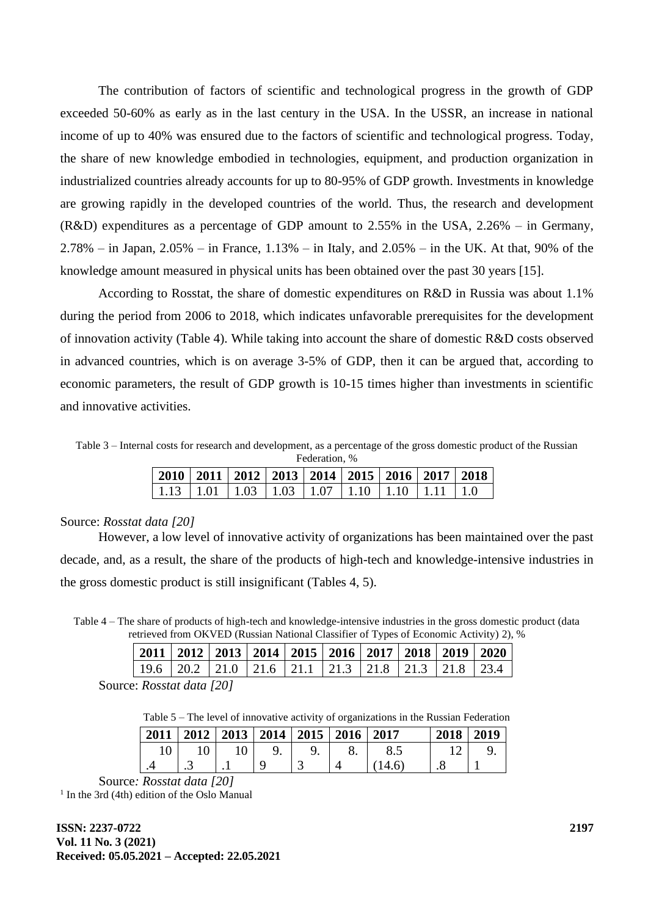The contribution of factors of scientific and technological progress in the growth of GDP exceeded 50-60% as early as in the last century in the USA. In the USSR, an increase in national income of up to 40% was ensured due to the factors of scientific and technological progress. Today, the share of new knowledge embodied in technologies, equipment, and production organization in industrialized countries already accounts for up to 80-95% of GDP growth. Investments in knowledge are growing rapidly in the developed countries of the world. Thus, the research and development (R&D) expenditures as a percentage of GDP amount to 2.55% in the USA, 2.26% – in Germany, 2.78% – in Japan, 2.05% – in France, 1.13% – in Italy, and 2.05% – in the UK. At that, 90% of the knowledge amount measured in physical units has been obtained over the past 30 years [15].

According to Rosstat, the share of domestic expenditures on R&D in Russia was about 1.1% during the period from 2006 to 2018, which indicates unfavorable prerequisites for the development of innovation activity (Table 4). While taking into account the share of domestic R&D costs observed in advanced countries, which is on average 3-5% of GDP, then it can be argued that, according to economic parameters, the result of GDP growth is 10-15 times higher than investments in scientific and innovative activities.

Table 3 – Internal costs for research and development, as a percentage of the gross domestic product of the Russian Federation, %

|  |  |  | 2010   2011   2012   2013   2014   2015   2016   2017   2018                                               |  |
|--|--|--|------------------------------------------------------------------------------------------------------------|--|
|  |  |  | $\mid$ 1.13 $\mid$ 1.01 $\mid$ 1.03 $\mid$ 1.03 $\mid$ 1.07 $\mid$ 1.10 $\mid$ 1.10 $\mid$ 1.11 $\mid$ 1.0 |  |

#### Source: *Rosstat data [20]*

However, a low level of innovative activity of organizations has been maintained over the past decade, and, as a result, the share of the products of high-tech and knowledge-intensive industries in the gross domestic product is still insignificant (Tables 4, 5).

Table 4 – The share of products of high-tech and knowledge-intensive industries in the gross domestic product (data retrieved from OKVED (Russian National Classifier of Types of Economic Activity) 2), %

|  |  |  |  |  | 2011   2012   2013   2014   2015   2016   2017   2018   2019   2020                                                                       |
|--|--|--|--|--|-------------------------------------------------------------------------------------------------------------------------------------------|
|  |  |  |  |  | $\vert$ 19.6 $\vert$ 20.2 $\vert$ 21.0 $\vert$ 21.6 $\vert$ 21.1 $\vert$ 21.3 $\vert$ 21.8 $\vert$ 21.3 $\vert$ 21.8 $\vert$ 23.4 $\vert$ |
|  |  |  |  |  |                                                                                                                                           |

Source: *Rosstat data [20]*

Table 5 – The level of innovative activity of organizations in the Russian Federation

| 2011 |         |           | 2012   2013   2014   2015 | 2016 | 2017 | 2018 | 2019 |
|------|---------|-----------|---------------------------|------|------|------|------|
|      |         |           | <b>.</b>                  |      |      |      |      |
|      | $\cdot$ | $\cdot$ . | ت                         |      |      | . .  |      |

Source*: Rosstat data [20]* 1 In the 3rd (4th) edition of the Oslo Manual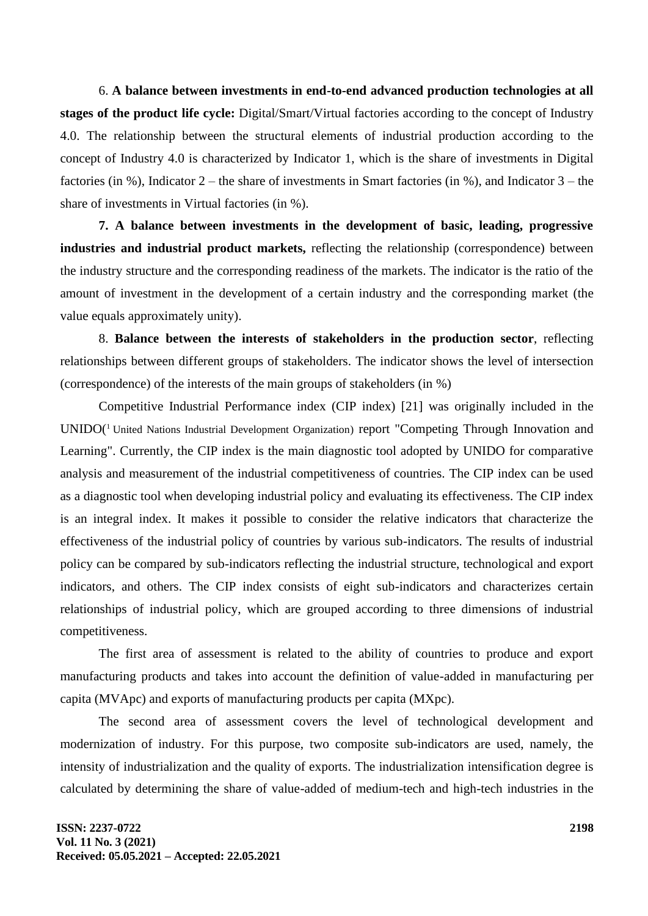6. **A balance between investments in end-to-end advanced production technologies at all stages of the product life cycle:** Digital/Smart/Virtual factories according to the concept of Industry 4.0. The relationship between the structural elements of industrial production according to the concept of Industry 4.0 is characterized by Indicator 1, which is the share of investments in Digital factories (in %), Indicator 2 – the share of investments in Smart factories (in %), and Indicator 3 – the share of investments in Virtual factories (in %).

**7. A balance between investments in the development of basic, leading, progressive industries and industrial product markets,** reflecting the relationship (correspondence) between the industry structure and the corresponding readiness of the markets. The indicator is the ratio of the amount of investment in the development of a certain industry and the corresponding market (the value equals approximately unity).

8. **Balance between the interests of stakeholders in the production sector**, reflecting relationships between different groups of stakeholders. The indicator shows the level of intersection (correspondence) of the interests of the main groups of stakeholders (in %)

Competitive Industrial Performance index (CIP index) [21] was originally included in the UNIDO<sup>(1</sup> United Nations Industrial Development Organization) report "Competing Through Innovation and Learning". Currently, the CIP index is the main diagnostic tool adopted by UNIDO for comparative analysis and measurement of the industrial competitiveness of countries. The CIP index can be used as a diagnostic tool when developing industrial policy and evaluating its effectiveness. The CIP index is an integral index. It makes it possible to consider the relative indicators that characterize the effectiveness of the industrial policy of countries by various sub-indicators. The results of industrial policy can be compared by sub-indicators reflecting the industrial structure, technological and export indicators, and others. The CIP index consists of eight sub-indicators and characterizes certain relationships of industrial policy, which are grouped according to three dimensions of industrial competitiveness.

The first area of assessment is related to the ability of countries to produce and export manufacturing products and takes into account the definition of value-added in manufacturing per capita (MVApc) and exports of manufacturing products per capita (MXpc).

The second area of assessment covers the level of technological development and modernization of industry. For this purpose, two composite sub-indicators are used, namely, the intensity of industrialization and the quality of exports. The industrialization intensification degree is calculated by determining the share of value-added of medium-tech and high-tech industries in the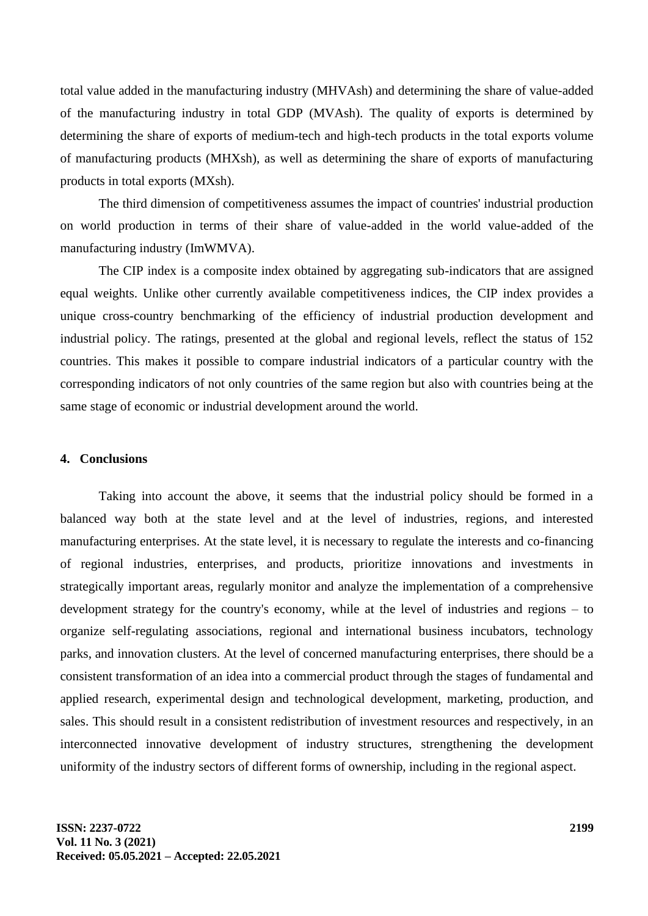total value added in the manufacturing industry (MHVAsh) and determining the share of value-added of the manufacturing industry in total GDP (MVAsh). The quality of exports is determined by determining the share of exports of medium-tech and high-tech products in the total exports volume of manufacturing products (MHXsh), as well as determining the share of exports of manufacturing products in total exports (MXsh).

The third dimension of competitiveness assumes the impact of countries' industrial production on world production in terms of their share of value-added in the world value-added of the manufacturing industry (ImWMVA).

The CIP index is a composite index obtained by aggregating sub-indicators that are assigned equal weights. Unlike other currently available competitiveness indices, the CIP index provides a unique cross-country benchmarking of the efficiency of industrial production development and industrial policy. The ratings, presented at the global and regional levels, reflect the status of 152 countries. This makes it possible to compare industrial indicators of a particular country with the corresponding indicators of not only countries of the same region but also with countries being at the same stage of economic or industrial development around the world.

### **4. Conclusions**

Taking into account the above, it seems that the industrial policy should be formed in a balanced way both at the state level and at the level of industries, regions, and interested manufacturing enterprises. At the state level, it is necessary to regulate the interests and co-financing of regional industries, enterprises, and products, prioritize innovations and investments in strategically important areas, regularly monitor and analyze the implementation of a comprehensive development strategy for the country's economy, while at the level of industries and regions – to organize self-regulating associations, regional and international business incubators, technology parks, and innovation clusters. At the level of concerned manufacturing enterprises, there should be a consistent transformation of an idea into a commercial product through the stages of fundamental and applied research, experimental design and technological development, marketing, production, and sales. This should result in a consistent redistribution of investment resources and respectively, in an interconnected innovative development of industry structures, strengthening the development uniformity of the industry sectors of different forms of ownership, including in the regional aspect.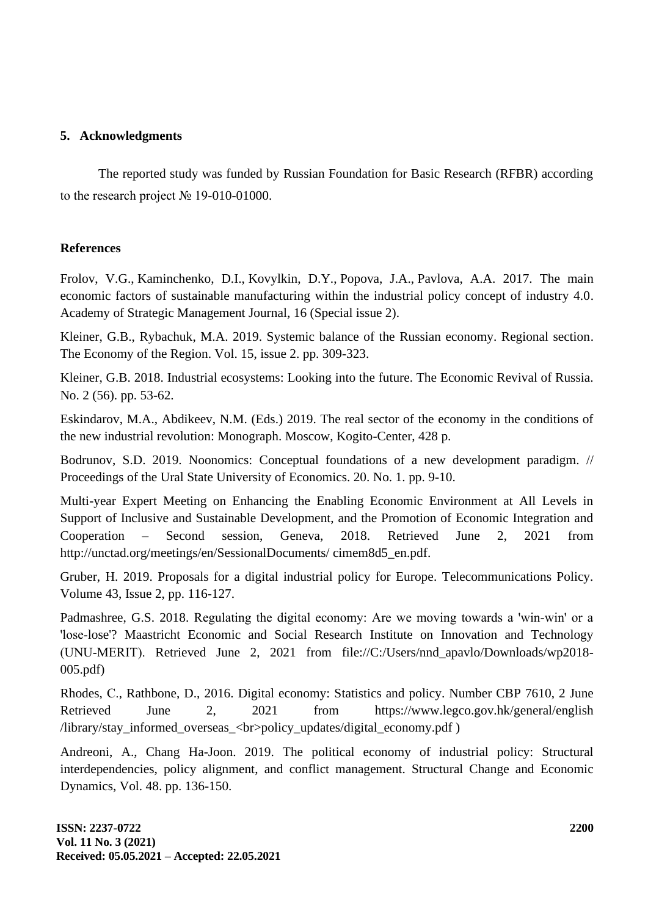# **5. Acknowledgments**

The reported study was funded by Russian Foundation for Basic Research (RFBR) according to the research project № 19-010-01000.

## **References**

Frolov, V.G., Kaminchenko, D.I., Kovylkin, D.Y., Popova, J.A., Pavlova, A.A. 2017. [The main](https://www.scopus.com/record/display.uri?eid=2-s2.0-85040636216&origin=reflist&sort=plf-f&cite=2-s2.0-85040636216&src=s&imp=t&sid=777aefd1b02a977a9070a18a4ae5fdec&sot=cite&sdt=a&sl=0)  [economic factors of sustainable manufacturing within the industrial policy concept of industry 4.0.](https://www.scopus.com/record/display.uri?eid=2-s2.0-85040636216&origin=reflist&sort=plf-f&cite=2-s2.0-85040636216&src=s&imp=t&sid=777aefd1b02a977a9070a18a4ae5fdec&sot=cite&sdt=a&sl=0) Academy of Strategic Management Journal, 16 (Special issue 2).

Kleiner, G.B., Rybachuk, M.A. 2019. Systemic balance of the Russian economy. Regional section. The Economy of the Region. Vol. 15, issue 2. pp. 309-323.

Kleiner, G.B. 2018. Industrial ecosystems: Looking into the future. The Economic Revival of Russia. No. 2 (56). pp. 53-62.

Eskindarov, M.A., Abdikeev, N.M. (Eds.) 2019. The real sector of the economy in the conditions of the new industrial revolution: Monograph. Moscow, Kogito-Center, 428 p.

Bodrunov, S.D. 2019. Noonomics: Conceptual foundations of a new development paradigm. // Proceedings of the Ural State University of Economics. 20. No. 1. pp. 9-10.

Multi-year Expert Meeting on Enhancing the Enabling Economic Environment at All Levels in Support of Inclusive and Sustainable Development, and the Promotion of Economic Integration and Cooperation – Second session, Geneva, 2018. Retrieved June 2, 2021 from [http://unctad.org/meetings/en/SessionalDocuments/ cimem8d5\\_en.pdf.](http://unctad.org/meetings/en/SessionalDocuments/%20cimem8d5_en.pdf)

Gruber, H. 2019. Proposals for a digital industrial policy for Europe. Telecommunications Policy. [Volume 43, Issue 2,](https://www.sciencedirect.com/science/journal/03085961/43/2) pp. 116-127.

Padmashree, G.S. 2018. Regulating the digital economy: Are we moving towards a 'win‐win' or a 'lose‐lose'? Maastricht Economic and Social Research Institute on Innovation and Technology (UNU‐MERIT). Retrieved June 2, 2021 from [file://C:/Users/nnd\\_apavlo/Downloads/wp2018-](file:///C:/Users/nnd_apavlo/Downloads/wp2018-005.pdf) [005.pdf\)](file:///C:/Users/nnd_apavlo/Downloads/wp2018-005.pdf)

Rhodes, С., Rathbone, D., 2016. Digital economy: Statistics and policy. Number CBP 7610, 2 June Retrieved June 2, 2021 from <https://www.legco.gov.hk/general/english> /library/stay\_informed\_overseas\_<br>policy\_updates/digital\_economy.pdf )

Andreoni, A., Chang Ha-Joon. 2019. The political economy of industrial policy: Structural interdependencies, policy alignment, and conflict management. Structural Change and Economic Dynamics, Vol. 48. pp. 136-150.